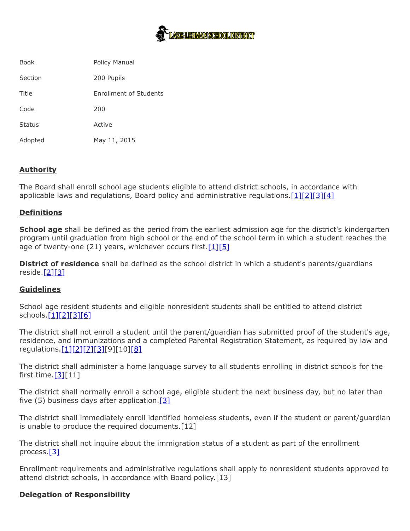

| <b>Book</b> | Policy Manual                 |
|-------------|-------------------------------|
| Section     | 200 Pupils                    |
| Title       | <b>Enrollment of Students</b> |
| Code        | 200                           |
| Status      | Active                        |
| Adopted     | May 11, 2015                  |

## **Authority**

The Board shall enroll school age students eligible to attend district schools, in accordance with applicable laws and regulations, Board policy and administrative regulations. $[1][2][3][4]$  $[1][2][3][4]$  $[1][2][3][4]$  $[1][2][3][4]$ 

## **Definitions**

**School age** shall be defined as the period from the earliest admission age for the district's kindergarten program until graduation from high school or the end of the school term in which a student reaches the age of twenty-one (21) years, whichever occurs first.  $[1][5]$  $[1][5]$ 

**District of residence** shall be defined as the school district in which a student's parents/guardians reside. $[2][3]$  $[2][3]$ 

## **Guidelines**

School age resident students and eligible nonresident students shall be entitled to attend district schools.[<u>1][\[2\]](http://www.legis.state.pa.us/cfdocs/legis/LI/uconsCheck.cfm?txtType=HTM&yr=1949&sessInd=0&smthLwInd=0&act=14&chpt=13&sctn=2&subsctn=0)[\[3\]](http://pacodeandbulletin.gov/Display/pacode?file=/secure/pacode/data/022/chapter11/s11.11.html&d=reduce)[\[6\]](http://pacodeandbulletin.gov/Display/pacode?file=/secure/pacode/data/022/chapter12/s12.1.html&d=reduce)</u>

The district shall not enroll a student until the parent/guardian has submitted proof of the student's age, residence, and immunizations and a completed Parental Registration Statement, as required by law and regulations. [1][\[2\]](http://www.legis.state.pa.us/cfdocs/legis/LI/uconsCheck.cfm?txtType=HTM&yr=1949&sessInd=0&smthLwInd=0&act=14&chpt=13&sctn=2&subsctn=0)[\[7\]](http://www.legis.state.pa.us/cfdocs/legis/LI/uconsCheck.cfm?txtType=HTM&yr=1949&sessInd=0&smthLwInd=0&act=14&chpt=13&sctn=3&subsctn=0)[\[3\]](http://pacodeandbulletin.gov/Display/pacode?file=/secure/pacode/data/022/chapter11/s11.11.html&d=reduce)[9][10][\[8\]](http://www.legis.state.pa.us/cfdocs/legis/LI/uconsCheck.cfm?txtType=HTM&yr=1949&sessInd=0&smthLwInd=0&act=14&chpt=13A&sctn=4&subsctn=0)

The district shall administer a home language survey to all students enrolling in district schools for the first time. $[3][11]$  $[3][11]$ 

The district shall normally enroll a school age, eligible student the next business day, but no later than five (5) business days after application.  $[3]$ 

The district shall immediately enroll identified homeless students, even if the student or parent/guardian is unable to produce the required documents.[12]

The district shall not inquire about the immigration status of a student as part of the enrollment process.[\[3\]](http://pacodeandbulletin.gov/Display/pacode?file=/secure/pacode/data/022/chapter11/s11.11.html&d=reduce)

Enrollment requirements and administrative regulations shall apply to nonresident students approved to attend district schools, in accordance with Board policy.[13]

## **Delegation of Responsibility**